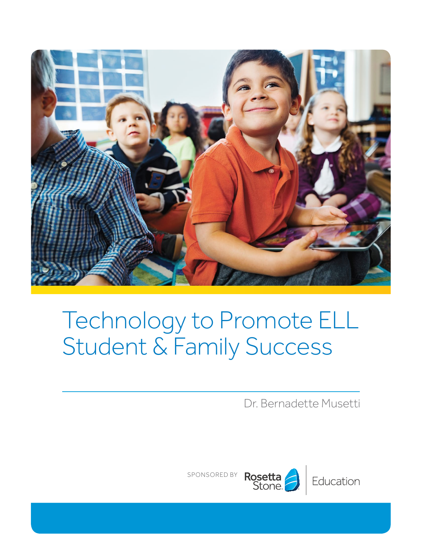

# Technology to Promote ELL Student & Family Success

Dr. Bernadette Musetti

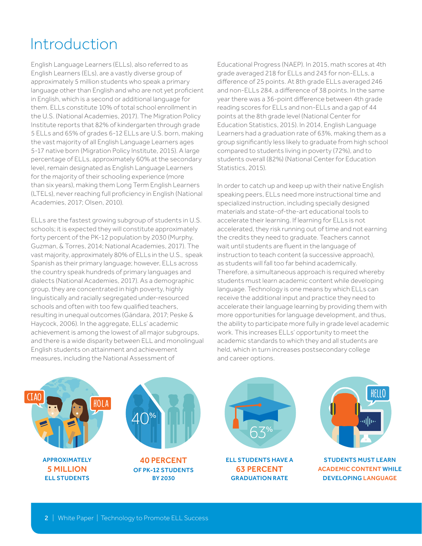## Introduction

English Language Learners (ELLs), also referred to as English Learners (ELs), are a vastly diverse group of approximately 5 million students who speak a primary language other than English and who are not yet proficient in English, which is a second or additional language for them. ELLs constitute 10% of total school enrollment in the U.S. (National Academies, 2017). The Migration Policy Institute reports that 82% of kindergarten through grade 5 ELLs and 65% of grades 6-12 ELLs are U.S. born, making the vast majority of all English Language Learners ages 5-17 native born (Migration Policy Institute, 2015). A large percentage of ELLs, approximately 60% at the secondary level, remain designated as English Language Learners for the majority of their schooling experience (more than six years), making them Long Term English Learners (LTELs), never reaching full proficiency in English (National Academies, 2017; Olsen, 2010).

ELLs are the fastest growing subgroup of students in U.S. schools; it is expected they will constitute approximately forty percent of the PK-12 population by 2030 (Murphy, Guzman, & Torres, 2014; National Academies, 2017). The vast majority, approximately 80% of ELLs in the U.S., speak Spanish as their primary language; however, ELLs across the country speak hundreds of primary languages and dialects (National Academies, 2017). As a demographic group, they are concentrated in high poverty, highly linguistically and racially segregated under-resourced schools and often with too few qualified teachers, resulting in unequal outcomes (Gándara, 2017; Peske & Haycock, 2006). In the aggregate, ELLs' academic achievement is among the lowest of all major subgroups, and there is a wide disparity between ELL and monolingual English students on attainment and achievement measures, including the National Assessment of

Educational Progress (NAEP). In 2015, math scores at 4th grade averaged 218 for ELLs and 243 for non-ELLs, a difference of 25 points. At 8th grade ELLs averaged 246 and non-ELLs 284, a difference of 38 points. In the same year there was a 36-point difference between 4th grade reading scores for ELLs and non-ELLs and a gap of 44 points at the 8th grade level (National Center for Education Statistics, 2015). In 2014, English Language Learners had a graduation rate of 63%, making them as a group significantly less likely to graduate from high school compared to students living in poverty (72%), and to students overall (82%) (National Center for Education Statistics, 2015).

In order to catch up and keep up with their native English speaking peers, ELLs need more instructional time and specialized instruction, including specially designed materials and state-of-the-art educational tools to accelerate their learning. If learning for ELLs is not accelerated, they risk running out of time and not earning the credits they need to graduate. Teachers cannot wait until students are fluent in the language of instruction to teach content (a successive approach), as students will fall too far behind academically. Therefore, a simultaneous approach is required whereby students must learn academic content while developing language. Technology is one means by which ELLs can receive the additional input and practice they need to accelerate their language learning by providing them with more opportunities for language development, and thus, the ability to participate more fully in grade level academic work. This increases ELLs' opportunity to meet the academic standards to which they and all students are held, which in turn increases postsecondary college and career options.

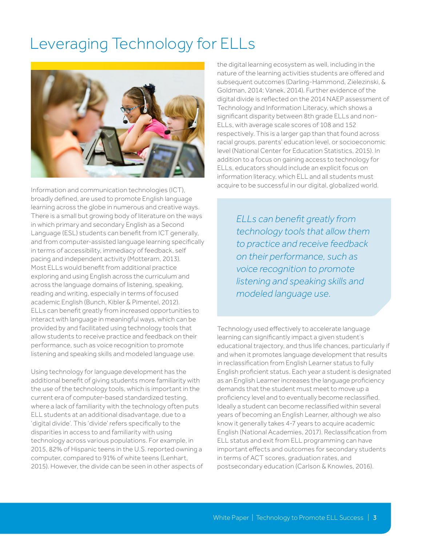### Leveraging Technology for ELLs



Information and communication technologies (ICT), broadly defined, are used to promote English language learning across the globe in numerous and creative ways. There is a small but growing body of literature on the ways in which primary and secondary English as a Second Language (ESL) students can benefit from ICT generally, and from computer-assisted language learning specifically in terms of accessibility, immediacy of feedback, self pacing and independent activity (Motteram, 2013). Most ELLs would benefit from additional practice exploring and using English across the curriculum and across the language domains of listening, speaking, reading and writing, especially in terms of focused academic English (Bunch, Kibler & Pimentel, 2012). ELLs can benefit greatly from increased opportunities to interact with language in meaningful ways, which can be provided by and facilitated using technology tools that allow students to receive practice and feedback on their performance, such as voice recognition to promote listening and speaking skills and modeled language use.

Using technology for language development has the additional benefit of giving students more familiarity with the use of the technology tools, which is important in the current era of computer-based standardized testing, where a lack of familiarity with the technology often puts ELL students at an additional disadvantage, due to a 'digital divide'. This 'divide' refers specifically to the disparities in access to and familiarity with using technology across various populations. For example, in 2015, 82% of Hispanic teens in the U.S. reported owning a computer, compared to 91% of white teens (Lenhart, 2015). However, the divide can be seen in other aspects of the digital learning ecosystem as well, including in the nature of the learning activities students are offered and subsequent outcomes (Darling-Hammond, Zielezinski, & Goldman, 2014; Vanek, 2014). Further evidence of the digital divide is reflected on the 2014 NAEP assessment of Technology and Information Literacy, which shows a significant disparity between 8th grade ELLs and non-ELLs, with average scale scores of 108 and 152 respectively. This is a larger gap than that found across racial groups, parents' education level, or socioeconomic level (National Center for Education Statistics, 2015). In addition to a focus on gaining access to technology for ELLs, educators should include an explicit focus on information literacy, which ELL and all students must acquire to be successful in our digital, globalized world.

> *ELLs can benefit greatly from technology tools that allow them to practice and receive feedback on their performance, such as voice recognition to promote listening and speaking skills and modeled language use.*

Technology used effectively to accelerate language learning can significantly impact a given student's educational trajectory, and thus life chances, particularly if and when it promotes language development that results in reclassification from English Learner status to fully English proficient status. Each year a student is designated as an English Learner increases the language proficiency demands that the student must meet to move up a proficiency level and to eventually become reclassified. Ideally a student can become reclassified within several years of becoming an English Learner, although we also know it generally takes 4-7 years to acquire academic English (National Academies, 2017). Reclassification from ELL status and exit from ELL programming can have important effects and outcomes for secondary students in terms of ACT scores, graduation rates, and postsecondary education (Carlson & Knowles, 2016).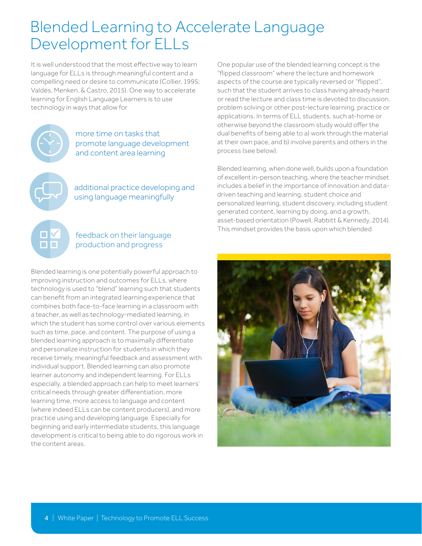### Blended Learning to Accelerate Language Development for ELLs

It is well understood that the most effective way to learn language for ELLs is through meaningful content and a compelling need or desire to communicate (Collier, 1995; Valdés, Menken, & Castro, 2015). One way to accelerate learning for English Language Learners is to use technology in ways that allow for



пF

more time on tasks that promote language development and content area learning

additional practice developing and using language meaningfully

### feedback on their language production and progress

Blended learning is one potentially powerful approach to improving instruction and outcomes for ELLs, where technology is used to "blend" learning such that students can benefit from an integrated learning experience that combines both face-to-face learning in a classroom with a teacher, as well as technology-mediated learning, in which the student has some control over various elements such as time, pace, and content. The purpose of using a blended learning approach is to maximally differentiate and personalize instruction for students in which they receive timely, meaningful feedback and assessment with individual support. Blended learning can also promote learner autonomy and independent learning. For ELLs especially, a blended approach can help to meet learners' critical needs through greater differentiation, more learning time, more access to language and content (where indeed ELLs can be content producers), and more practice using and developing language. Especially for beginning and early intermediate students, this language development is critical to being able to do rigorous work in the content areas.

One popular use of the blended learning concept is the "flipped classroom" where the lecture and homework aspects of the course are typically reversed or "flipped", such that the student arrives to class having already heard or read the lecture and class time is devoted to discussion, problem solving or other post-lecture learning, practice or applications. In terms of ELL students, such at-home or otherwise beyond the classroom study would offer the dual benefits of being able to a) work through the material at their own pace, and b) involve parents and others in the process (see below).

Blended learning, when done well, builds upon a foundation of excellent in-person teaching, where the teacher mindset includes a belief in the importance of innovation and datadriven teaching and learning, student choice and personalized learning, student discovery, including student generated content, learning by doing, and a growth, asset-based orientation (Powell, Rabbitt & Kennedy, 2014). This mindset provides the basis upon which blended

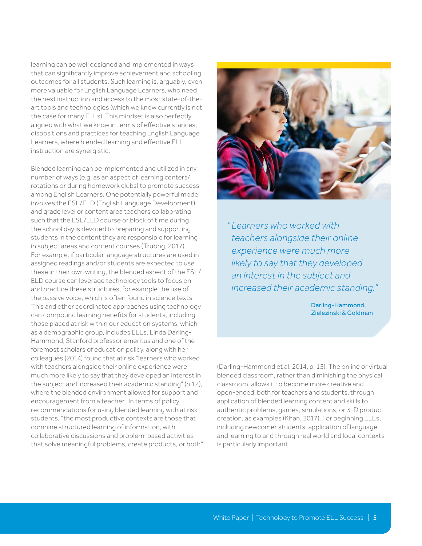learning can be well designed and implemented in ways that can significantly improve achievement and schooling outcomes for all students. Such learning is, arguably, even more valuable for English Language Learners, who need the best instruction and access to the most state-of-theart tools and technologies (which we know currently is not the case for many ELLs). This mindset is also perfectly aligned with what we know in terms of effective stances, dispositions and practices for teaching English Language Learners, where blended learning and effective ELL instruction are synergistic.

Blended learning can be implemented and utilized in any number of ways (e.g. as an aspect of learning centers/ rotations or during homework clubs) to promote success among English Learners. One potentially powerful model involves the ESL/ELD (English Language Development) and grade level or content area teachers collaborating such that the ESL/ELD course or block of time during the school day is devoted to preparing and supporting students in the content they are responsible for learning in subject areas and content courses (Truong, 2017). For example, if particular language structures are used in assigned readings and/or students are expected to use these in their own writing, the blended aspect of the ESL/ ELD course can leverage technology tools to focus on and practice these structures, for example the use of the passive voice, which is often found in science texts. This and other coordinated approaches using technology can compound learning benefits for students, including those placed at risk within our education systems, which as a demographic group, includes ELLs. Linda Darling-Hammond, Stanford professor emeritus and one of the foremost scholars of education policy, along with her colleagues (2014) found that at risk "learners who worked with teachers alongside their online experience were much more likely to say that they developed an interest in the subject and increased their academic standing" (p.12), where the blended environment allowed for support and encouragement from a teacher. In terms of policy recommendations for using blended learning with at risk students, "the most productive contexts are those that combine structured learning of information, with collaborative discussions and problem-based activities that solve meaningful problems, create products, or both"



*Learners who worked with " teachers alongside their online experience were much more likely to say that they developed an interest in the subject and increased their academic standing."*

> Darling-Hammond, Zielezinski & Goldman

(Darling-Hammond et al, 2014, p. 15). The online or virtual blended classroom, rather than diminishing the physical classroom, allows it to become more creative and open-ended, both for teachers and students, through application of blended learning content and skills to authentic problems, games, simulations, or 3-D product creation, as examples (Khan, 2017). For beginning ELLs, including newcomer students, application of language and learning to and through real world and local contexts is particularly important.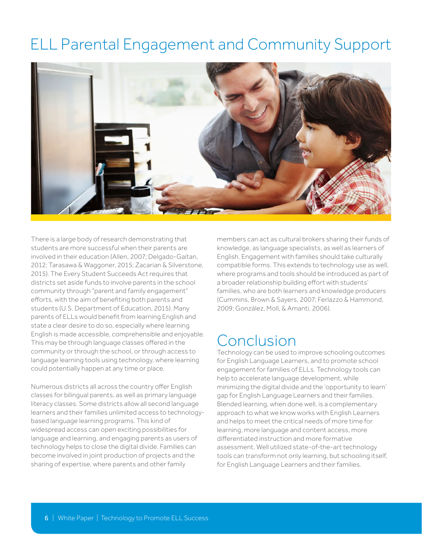## ELL Parental Engagement and Community Support



There is a large body of research demonstrating that students are more successful when their parents are involved in their education (Allen, 2007; Delgado-Gaitan, 2012; Tarasawa & Waggoner, 2015; Zacarian & Silverstone, 2015). The Every Student Succeeds Act requires that districts set aside funds to involve parents in the school community through "parent and family engagement" efforts, with the aim of benefiting both parents and students (U.S. Department of Education, 2015). Many parents of ELLs would benefit from learning English and state a clear desire to do so, especially where learning English is made accessible, comprehensible and enjoyable. This may be through language classes offered in the community or through the school, or through access to language learning tools using technology, where learning could potentially happen at any time or place.

Numerous districts all across the country offer English classes for bilingual parents, as well as primary language literacy classes. Some districts allow all second language learners and their families unlimited access to technologybased language learning programs. This kind of widespread access can open exciting possibilities for language and learning, and engaging parents as users of technology helps to close the digital divide. Families can become involved in joint production of projects and the sharing of expertise, where parents and other family

members can act as cultural brokers sharing their funds of knowledge, as language specialists, as well as learners of English. Engagement with families should take culturally compatible forms. This extends to technology use as well, where programs and tools should be introduced as part of a broader relationship building effort with students' families, who are both learners and knowledge producers (Cummins, Brown & Sayers, 2007; Ferlazzo & Hammond, 2009; González, Moll, & Amanti, 2006).

### Conclusion

Technology can be used to improve schooling outcomes for English Language Learners, and to promote school engagement for families of ELLs. Technology tools can help to accelerate language development, while minimizing the digital divide and the 'opportunity to learn' gap for English Language Learners and their families. Blended learning, when done well, is a complementary approach to what we know works with English Learners and helps to meet the critical needs of more time for learning, more language and content access, more differentiated instruction and more formative assessment. Well utilized state-of-the-art technology tools can transform not only learning, but schooling itself, for English Language Learners and their families.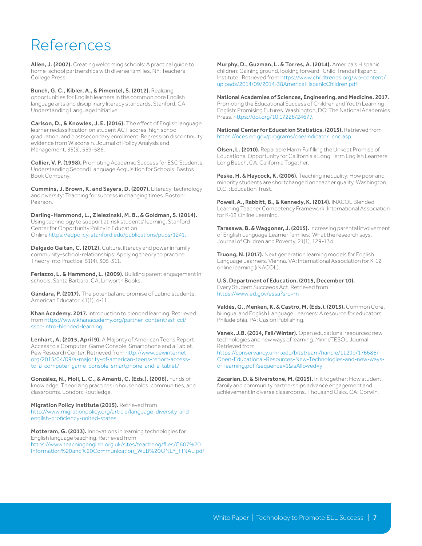### References

Allen, J. (2007). Creating welcoming schools: A practical guide to home-school partnerships with diverse families. NY: Teachers College Press.

Bunch, G. C., Kibler, A., & Pimentel, S. (2012). Realizing opportunities for English learners in the common core English language arts and disciplinary literacy standards. Stanford, CA: Understanding Language Initiative.

Carlson, D., & Knowles, J. E. (2016). The effect of English language learner reclassification on student ACT scores, high school graduation, and postsecondary enrollment: Regression discontinuity evidence from Wisconsin. Journal of Policy Analysis and Management, 35(3), 559-586.

Collier, V. P. (1998). Promoting Academic Success for ESC Students: Understanding Second Language Acquisition for Schools. Bastos Book Company.

Cummins, J. Brown, K. and Sayers, D. (2007). Literacy, technology and diversity: Teaching for success in changing times. Boston: Pearson.

Darling-Hammond, L., Zielezinski, M. B., & Goldman, S. (2014). Using technology to support at-risk students' learning. Stanford Center for Opportunity Policy in Education. Online [https://edpolicy. stanford.edu/publications/pubs/1241](https://edpolicy.stanford.edu/publications/pubs/1241).

Delgado Gaitan, C. (2012). Culture, literacy and power in family community-school-relationships: Applying theory to practice. Theory Into Practice, 51(4), 305-311.

Ferlazzo, L. & Hammond, L. (2009). Building parent engagement in schools. Santa Barbara, CA: Linworth Books.

Gándara, P. (2017). The potential and promise of Latino students. American Educator, 41(1), 4-11.

Khan Academy. 2017. Introduction to blended learning. Retrieved from https://www.khanacademy.org/partner-content/ssf-cci/ sscc-intro-blended-learning.

Lenhart, A. (2015, April 9). A Majority of American Teens Report Access to a Computer, Game Console, Smartphone and a Tablet. Pew Research Center. Retrieved from [http://www.pewinternet](http://www.pewinternet.org/2015/04/09/a-majority-of-american-teens-report-access-to-a-computer-game-console-smartphone-and-a-tablet/)  [org/2015/04/09/a-majority-of-american-teens-report-access](http://www.pewinternet.org/2015/04/09/a-majority-of-american-teens-report-access-to-a-computer-game-console-smartphone-and-a-tablet/)[to-a-computer-game-console-smartphone-and-a-tablet/](http://www.pewinternet.org/2015/04/09/a-majority-of-american-teens-report-access-to-a-computer-game-console-smartphone-and-a-tablet/)

González, N., Moll, L. C., & Amanti, C. (Eds.). (2006). Funds of knowledge: Theorizing practices in households, communities, and classrooms. London: Routledge.

Migration Policy Institute (2015). Retrieved from http://www.migrationpolicy.org/article/language-diversity-andenglish-proficiency-united-states

Motteram, G. (2013). Innovations in learning technologies for English language teaching. Retrieved from https://www.teachingenglish.org.uk/sites/teacheng/files/C607%20 Information%20and%20Communication\_WEB%20ONLY\_FINAL.pdf Murphy, D., Guzman, L. & Torres, A. (2014). America's Hispanic children: Gaining ground, looking forward. Child Trends Hispanic Institute. Retrieved from [https://www.childtrends.org/wp-content/](https://www.childtrends.org/wp-content/uploads/2014/09/2014-38AmericaHispanicChildren.pdf
) [uploads/2014/09/2014-38AmericaHispanicChildren.pdf](https://www.childtrends.org/wp-content/uploads/2014/09/2014-38AmericaHispanicChildren.pdf
)

National Academies of Sciences, Engineering, and Medicine. 2017. Promoting the Educational Success of Children and Youth Learning English: Promising Futures. Washington, DC: The National Academies Press. <https://doi.org/10.17226/24677>.

National Center for Education Statistics. (2015). Retrieved from https://nces.ed.gov/programs/coe/indicator\_cnc.asp

Olsen, L. (2010). Reparable Harm Fulfilling the Unkept Promise of Educational Opportunity for California's Long Term English Learners. Long Beach, CA: California Together.

Peske, H. & Haycock, K. (2006). Teaching inequality: How poor and minority students are shortchanged on teacher quality. Washington, D.C. : Education Trust.

Powell, A., Rabbitt, B., & Kennedy, K. (2014). iNACOL Blended Learning Teacher Competency Framework. International Association for K-12 Online Learning.

Tarasawa, B. & Waggoner, J. (2015). Increasing parental involvement of English Language Learner families: What the research says. Journal of Children and Poverty, 21(1), 129-134.

Truong, N. (2017). Next generation learning models for English Language Learners. Vienna, VA: International Association for K-12 online learning (iNACOL).

U.S. Department of Education. (2015, December 10). Every Student Succeeds Act. Retrieved from https://www.ed.gov/essa?src=rn

Valdés, G., Menken, K. & Castro, M. (Eds.). (2015). Common Core, bilingual and English Language Learners: A resource for educators. Philadelphia, PA: Caslon Publishing.

Vanek, J.B. (2014, Fall/Winter). Open educational resources: new technologies and new ways of learning. MinneTESOL Journal. Retrieved from

[https://conservancy.umn.edu/bitstream/handle/11299/176686/](https://conservancy.umn.edu/bitstream/handle/11299/176686/Open-Educational-Resources-New-Technologies-and-new-ways-of-learning.pdf?sequence=1&isAllowed=y) [Open-Educational-Resources-New-Technologies-and-new-ways](https://conservancy.umn.edu/bitstream/handle/11299/176686/Open-Educational-Resources-New-Technologies-and-new-ways-of-learning.pdf?sequence=1&isAllowed=y)[of-learning.pdf?sequence=1&isAllowed=y](https://conservancy.umn.edu/bitstream/handle/11299/176686/Open-Educational-Resources-New-Technologies-and-new-ways-of-learning.pdf?sequence=1&isAllowed=y)

Zacarian, D. & Silverstone, M. (2015). In it together: How student, family and community partnerships advance engagement and achievement in diverse classrooms. Thousand Oaks, CA: Corwin.